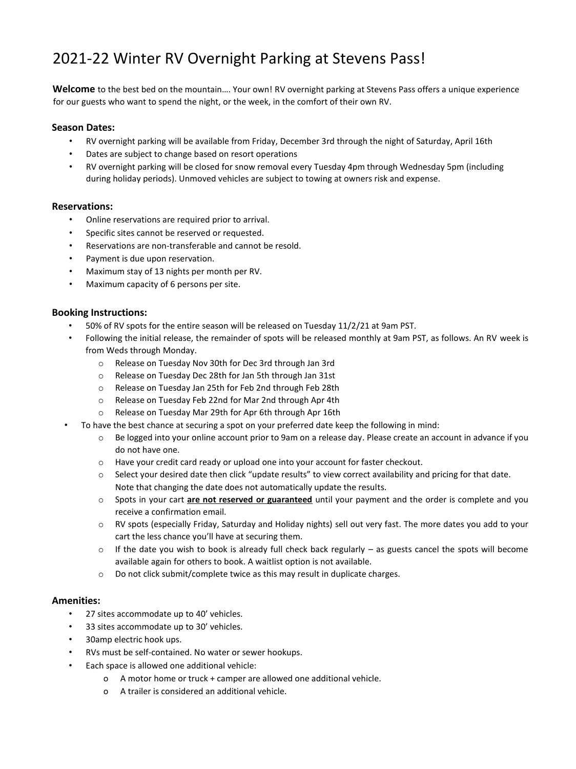# 2021-22 Winter RV Overnight Parking at Stevens Pass!

**Welcome** to the best bed on the mountain…. Your own! RV overnight parking at Stevens Pass offers a unique experience for our guests who want to spend the night, or the week, in the comfort of their own RV.

#### **Season Dates:**

- RV overnight parking will be available from Friday, December 3rd through the night of Saturday, April 16th
- Dates are subject to change based on resort operations
- RV overnight parking will be closed for snow removal every Tuesday 4pm through Wednesday 5pm (including during holiday periods). Unmoved vehicles are subject to towing at owners risk and expense.

## **Reservations:**

- Online reservations are required prior to arrival.
- Specific sites cannot be reserved or requested.
- Reservations are non-transferable and cannot be resold.
- Payment is due upon reservation.
- Maximum stay of 13 nights per month per RV.
- Maximum capacity of 6 persons per site.

## **Booking Instructions:**

- 50% of RV spots for the entire season will be released on Tuesday 11/2/21 at 9am PST.
- Following the initial release, the remainder of spots will be released monthly at 9am PST, as follows. An RV week is from Weds through Monday.
	- o Release on Tuesday Nov 30th for Dec 3rd through Jan 3rd
	- o Release on Tuesday Dec 28th for Jan 5th through Jan 31st
	- o Release on Tuesday Jan 25th for Feb 2nd through Feb 28th
	- o Release on Tuesday Feb 22nd for Mar 2nd through Apr 4th
	- o Release on Tuesday Mar 29th for Apr 6th through Apr 16th
- To have the best chance at securing a spot on your preferred date keep the following in mind:
	- Be logged into your online account prior to 9am on a release day. Please create an account in advance if you do not have one.
	- o Have your credit card ready or upload one into your account for faster checkout.
	- o Select your desired date then click "update results" to view correct availability and pricing for that date. Note that changing the date does not automatically update the results.
	- o Spots in your cart **are not reserved or guaranteed** until your payment and the order is complete and you receive a confirmation email.
	- o RV spots (especially Friday, Saturday and Holiday nights) sell out very fast. The more dates you add to your cart the less chance you'll have at securing them.
	- $\circ$  If the date you wish to book is already full check back regularly as guests cancel the spots will become available again for others to book. A waitlist option is not available.
	- o Do not click submit/complete twice as this may result in duplicate charges.

#### **Amenities:**

- 27 sites accommodate up to 40' vehicles.
- 33 sites accommodate up to 30' vehicles.
- 30amp electric hook ups.
- RVs must be self-contained. No water or sewer hookups.
- Each space is allowed one additional vehicle:
	- o A motor home or truck + camper are allowed one additional vehicle.
	- o A trailer is considered an additional vehicle.